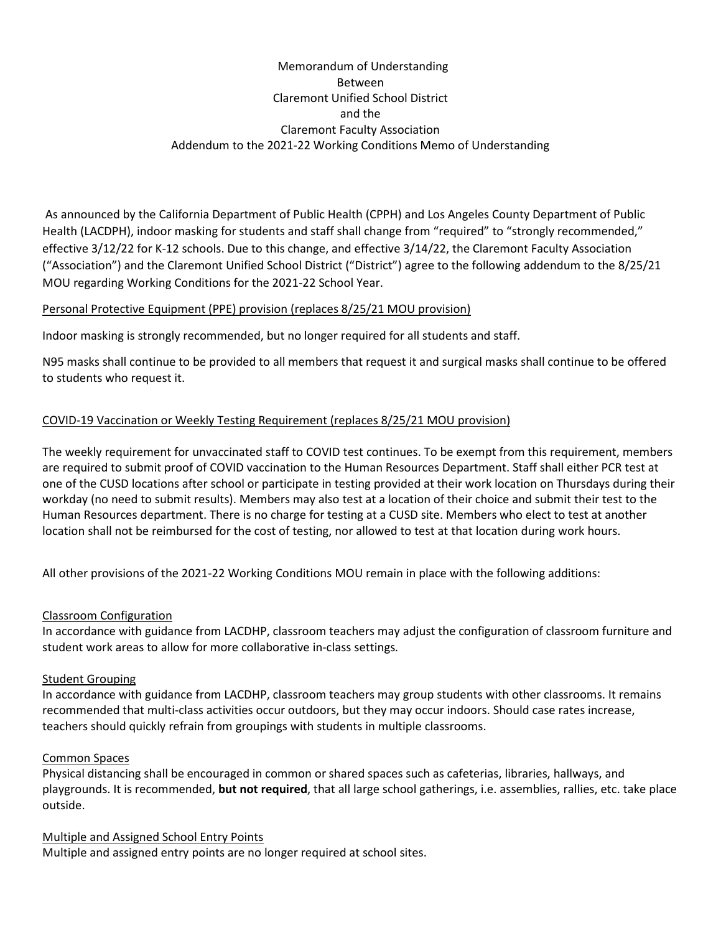# Memorandum of Understanding Between Claremont Unified School District and the Claremont Faculty Association Addendum to the 2021-22 Working Conditions Memo of Understanding

 As announced by the California Department of Public Health (CPPH) and Los Angeles County Department of Public Health (LACDPH), indoor masking for students and staff shall change from "required" to "strongly recommended," effective 3/12/22 for K-12 schools. Due to this change, and effective 3/14/22, the Claremont Faculty Association ("Association") and the Claremont Unified School District ("District") agree to the following addendum to the 8/25/21 MOU regarding Working Conditions for the 2021-22 School Year.

### Personal Protective Equipment (PPE) provision (replaces 8/25/21 MOU provision)

Indoor masking is strongly recommended, but no longer required for all students and staff.

N95 masks shall continue to be provided to all members that request it and surgical masks shall continue to be offered to students who request it.

## COVID-19 Vaccination or Weekly Testing Requirement (replaces 8/25/21 MOU provision)

The weekly requirement for unvaccinated staff to COVID test continues. To be exempt from this requirement, members are required to submit proof of COVID vaccination to the Human Resources Department. Staff shall either PCR test at one of the CUSD locations after school or participate in testing provided at their work location on Thursdays during their workday (no need to submit results). Members may also test at a location of their choice and submit their test to the Human Resources department. There is no charge for testing at a CUSD site. Members who elect to test at another location shall not be reimbursed for the cost of testing, nor allowed to test at that location during work hours.

All other provisions of the 2021-22 Working Conditions MOU remain in place with the following additions:

### Classroom Configuration

In accordance with guidance from LACDHP, classroom teachers may adjust the configuration of classroom furniture and student work areas to allow for more collaborative in-class settings.

### Student Grouping

In accordance with guidance from LACDHP, classroom teachers may group students with other classrooms. It remains recommended that multi-class activities occur outdoors, but they may occur indoors. Should case rates increase, teachers should quickly refrain from groupings with students in multiple classrooms.

### Common Spaces

Physical distancing shall be encouraged in common or shared spaces such as cafeterias, libraries, hallways, and playgrounds. It is recommended, but not required, that all large school gatherings, i.e. assemblies, rallies, etc. take place outside.

Multiple and Assigned School Entry Points Multiple and assigned entry points are no longer required at school sites.